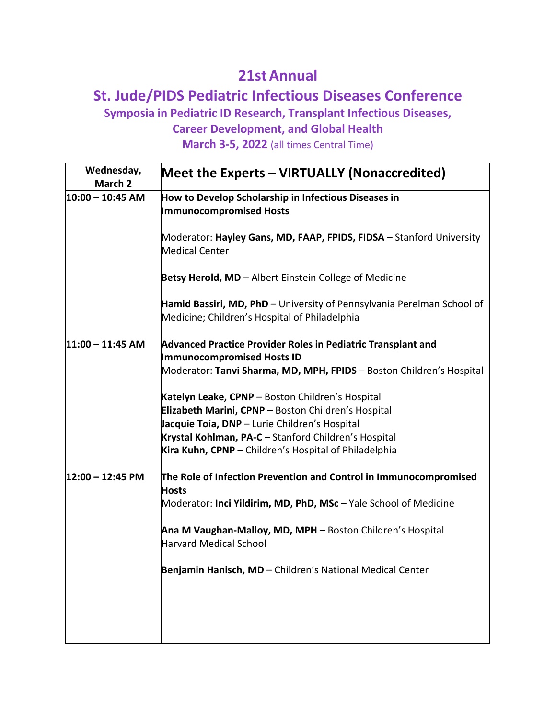## **21stAnnual**

## **St. Jude/PIDS Pediatric Infectious Diseases Conference**

**Symposia in Pediatric ID Research, Transplant Infectious Diseases,**

**Career Development, and Global Health**

**March 3-5, 2022** (all times Central Time)

| Wednesday,<br>March 2      | Meet the Experts - VIRTUALLY (Nonaccredited)                                                                                                                                                                                                                              |
|----------------------------|---------------------------------------------------------------------------------------------------------------------------------------------------------------------------------------------------------------------------------------------------------------------------|
| $10:00 - 10:45$ AM         | How to Develop Scholarship in Infectious Diseases in<br><b>Immunocompromised Hosts</b>                                                                                                                                                                                    |
|                            | Moderator: Hayley Gans, MD, FAAP, FPIDS, FIDSA - Stanford University<br>Medical Center                                                                                                                                                                                    |
|                            | Betsy Herold, MD - Albert Einstein College of Medicine                                                                                                                                                                                                                    |
|                            | Hamid Bassiri, MD, PhD - University of Pennsylvania Perelman School of<br>Medicine; Children's Hospital of Philadelphia                                                                                                                                                   |
| $11:00 - 11:45$ AM         | <b>Advanced Practice Provider Roles in Pediatric Transplant and</b><br>Immunocompromised Hosts ID<br>Moderator: Tanvi Sharma, MD, MPH, FPIDS - Boston Children's Hospital                                                                                                 |
|                            | Katelyn Leake, CPNP - Boston Children's Hospital<br>Elizabeth Marini, CPNP - Boston Children's Hospital<br>Jacquie Toia, DNP - Lurie Children's Hospital<br>Krystal Kohlman, PA-C - Stanford Children's Hospital<br>Kira Kuhn, CPNP - Children's Hospital of Philadelphia |
| $12:00 - 12:45 \text{ PM}$ | The Role of Infection Prevention and Control in Immunocompromised<br><b>Hosts</b><br>Moderator: Inci Yildirim, MD, PhD, MSc - Yale School of Medicine                                                                                                                     |
|                            | Ana M Vaughan-Malloy, MD, MPH - Boston Children's Hospital<br>Harvard Medical School                                                                                                                                                                                      |
|                            | Benjamin Hanisch, MD - Children's National Medical Center                                                                                                                                                                                                                 |
|                            |                                                                                                                                                                                                                                                                           |
|                            |                                                                                                                                                                                                                                                                           |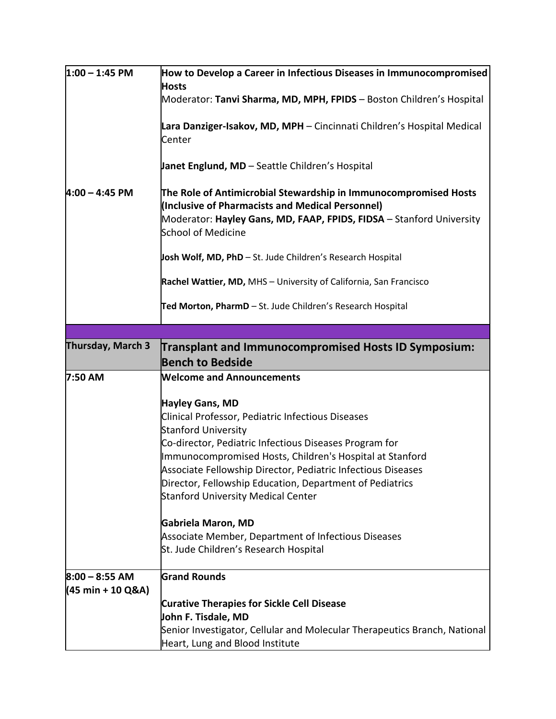| $1:00 - 1:45$ PM         | How to Develop a Career in Infectious Diseases in Immunocompromised                                                                                                                                                |
|--------------------------|--------------------------------------------------------------------------------------------------------------------------------------------------------------------------------------------------------------------|
|                          | <b>Hosts</b><br>Moderator: Tanvi Sharma, MD, MPH, FPIDS - Boston Children's Hospital                                                                                                                               |
|                          |                                                                                                                                                                                                                    |
|                          | Lara Danziger-Isakov, MD, MPH - Cincinnati Children's Hospital Medical<br>Center                                                                                                                                   |
|                          | Janet Englund, MD - Seattle Children's Hospital                                                                                                                                                                    |
| $4:00 - 4:45$ PM         | The Role of Antimicrobial Stewardship in Immunocompromised Hosts<br>(Inclusive of Pharmacists and Medical Personnel)<br>Moderator: Hayley Gans, MD, FAAP, FPIDS, FIDSA - Stanford University<br>School of Medicine |
|                          | Josh Wolf, MD, PhD - St. Jude Children's Research Hospital                                                                                                                                                         |
|                          | Rachel Wattier, MD, MHS - University of California, San Francisco                                                                                                                                                  |
|                          | Ted Morton, PharmD - St. Jude Children's Research Hospital                                                                                                                                                         |
|                          |                                                                                                                                                                                                                    |
| <b>Thursday, March 3</b> | <b>Transplant and Immunocompromised Hosts ID Symposium:</b>                                                                                                                                                        |
|                          | <b>Bench to Bedside</b>                                                                                                                                                                                            |
| 7:50 AM                  | <b>Welcome and Announcements</b>                                                                                                                                                                                   |
|                          | Hayley Gans, MD                                                                                                                                                                                                    |
|                          | Clinical Professor, Pediatric Infectious Diseases                                                                                                                                                                  |
|                          | <b>Stanford University</b>                                                                                                                                                                                         |
|                          | Co-director, Pediatric Infectious Diseases Program for                                                                                                                                                             |
|                          | Immunocompromised Hosts, Children's Hospital at Stanford                                                                                                                                                           |
|                          | Associate Fellowship Director, Pediatric Infectious Diseases                                                                                                                                                       |
|                          | Director, Fellowship Education, Department of Pediatrics                                                                                                                                                           |
|                          | <b>Stanford University Medical Center</b>                                                                                                                                                                          |
|                          | Gabriela Maron, MD                                                                                                                                                                                                 |
|                          | Associate Member, Department of Infectious Diseases                                                                                                                                                                |
|                          | St. Jude Children's Research Hospital                                                                                                                                                                              |
| $8:00 - 8:55$ AM         | <b>Grand Rounds</b>                                                                                                                                                                                                |
| (45 min + 10 Q&A)        |                                                                                                                                                                                                                    |
|                          | <b>Curative Therapies for Sickle Cell Disease</b>                                                                                                                                                                  |
|                          | John F. Tisdale, MD                                                                                                                                                                                                |
|                          |                                                                                                                                                                                                                    |
|                          | Senior Investigator, Cellular and Molecular Therapeutics Branch, National<br>Heart, Lung and Blood Institute                                                                                                       |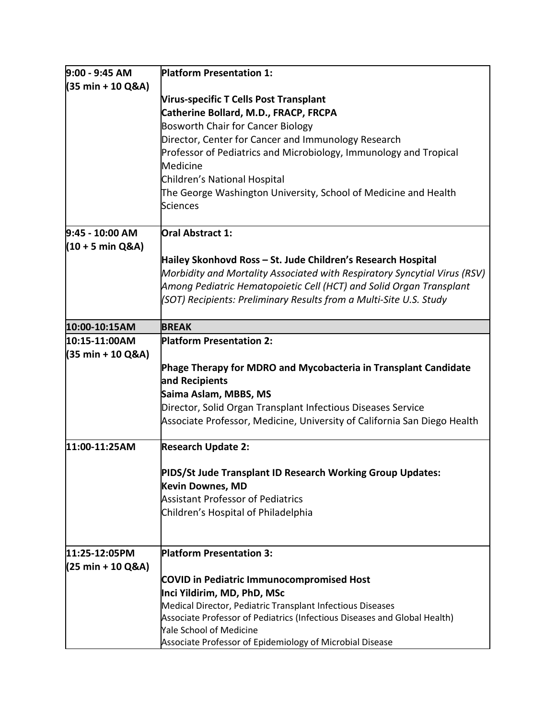| $9:00 - 9:45 AM$                              | <b>Platform Presentation 1:</b>                                           |
|-----------------------------------------------|---------------------------------------------------------------------------|
| (35 min + 10 Q&A)                             |                                                                           |
|                                               | <b>Virus-specific T Cells Post Transplant</b>                             |
|                                               | Catherine Bollard, M.D., FRACP, FRCPA                                     |
|                                               | <b>Bosworth Chair for Cancer Biology</b>                                  |
|                                               | Director, Center for Cancer and Immunology Research                       |
|                                               | Professor of Pediatrics and Microbiology, Immunology and Tropical         |
|                                               | Medicine                                                                  |
|                                               | Children's National Hospital                                              |
|                                               | The George Washington University, School of Medicine and Health           |
|                                               | <b>Sciences</b>                                                           |
| 9:45 - 10:00 AM                               | <b>Oral Abstract 1:</b>                                                   |
| $(10 + 5 \text{ min } \text{Q}8A)$            |                                                                           |
|                                               | Hailey Skonhovd Ross – St. Jude Children's Research Hospital              |
|                                               | Morbidity and Mortality Associated with Respiratory Syncytial Virus (RSV) |
|                                               | Among Pediatric Hematopoietic Cell (HCT) and Solid Organ Transplant       |
|                                               | (SOT) Recipients: Preliminary Results from a Multi-Site U.S. Study        |
| 10:00-10:15AM                                 | <b>BREAK</b>                                                              |
| 10:15-11:00AM                                 | <b>Platform Presentation 2:</b>                                           |
| (35 min + 10 Q&A)                             |                                                                           |
|                                               | Phage Therapy for MDRO and Mycobacteria in Transplant Candidate           |
|                                               | and Recipients                                                            |
|                                               | Saima Aslam, MBBS, MS                                                     |
|                                               | Director, Solid Organ Transplant Infectious Diseases Service              |
|                                               | Associate Professor, Medicine, University of California San Diego Health  |
| 11:00-11:25AM                                 | <b>Research Update 2:</b>                                                 |
|                                               | PIDS/St Jude Transplant ID Research Working Group Updates:                |
|                                               | <b>Kevin Downes, MD</b>                                                   |
|                                               | <b>Assistant Professor of Pediatrics</b>                                  |
|                                               | Children's Hospital of Philadelphia                                       |
|                                               |                                                                           |
| 11:25-12:05PM                                 | <b>Platform Presentation 3:</b>                                           |
| $(25 \text{ min} + 10 \text{ Q} \& \text{A})$ |                                                                           |
|                                               | <b>COVID in Pediatric Immunocompromised Host</b>                          |
|                                               | Inci Yildirim, MD, PhD, MSc                                               |
|                                               | Medical Director, Pediatric Transplant Infectious Diseases                |
|                                               | Associate Professor of Pediatrics (Infectious Diseases and Global Health) |
|                                               | <b>Yale School of Medicine</b>                                            |
|                                               | Associate Professor of Epidemiology of Microbial Disease                  |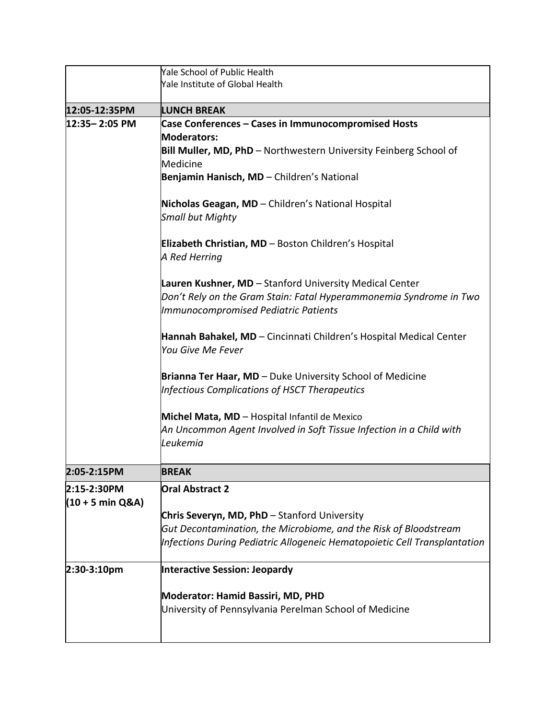|                                                     | Yale School of Public Health<br>Yale Institute of Global Health                                                                                                                                                                                                                                                                                                                                                                                                                                                                                                                                                                                                                                                                                                                                                                                                                                        |
|-----------------------------------------------------|--------------------------------------------------------------------------------------------------------------------------------------------------------------------------------------------------------------------------------------------------------------------------------------------------------------------------------------------------------------------------------------------------------------------------------------------------------------------------------------------------------------------------------------------------------------------------------------------------------------------------------------------------------------------------------------------------------------------------------------------------------------------------------------------------------------------------------------------------------------------------------------------------------|
|                                                     |                                                                                                                                                                                                                                                                                                                                                                                                                                                                                                                                                                                                                                                                                                                                                                                                                                                                                                        |
| 12:05-12:35PM                                       | <b>LUNCH BREAK</b>                                                                                                                                                                                                                                                                                                                                                                                                                                                                                                                                                                                                                                                                                                                                                                                                                                                                                     |
| 12:35-2:05 PM                                       | <b>Case Conferences - Cases in Immunocompromised Hosts</b><br><b>Moderators:</b><br>Bill Muller, MD, PhD - Northwestern University Feinberg School of<br>Medicine<br>Benjamin Hanisch, MD - Children's National<br>Nicholas Geagan, MD - Children's National Hospital<br><b>Small but Mighty</b><br>Elizabeth Christian, MD - Boston Children's Hospital<br>A Red Herring<br>Lauren Kushner, MD - Stanford University Medical Center<br>Don't Rely on the Gram Stain: Fatal Hyperammonemia Syndrome in Two<br>Immunocompromised Pediatric Patients<br>Hannah Bahakel, MD - Cincinnati Children's Hospital Medical Center<br>You Give Me Fever<br><b>Brianna Ter Haar, MD</b> – Duke University School of Medicine<br>Infectious Complications of HSCT Therapeutics<br>Michel Mata, MD - Hospital Infantil de Mexico<br>An Uncommon Agent Involved in Soft Tissue Infection in a Child with<br>Leukemia |
| 2:05-2:15PM                                         | <b>BREAK</b>                                                                                                                                                                                                                                                                                                                                                                                                                                                                                                                                                                                                                                                                                                                                                                                                                                                                                           |
| 2:15-2:30PM<br>$(10 + 5 \text{ min } 0.8 \text{A})$ | <b>Oral Abstract 2</b>                                                                                                                                                                                                                                                                                                                                                                                                                                                                                                                                                                                                                                                                                                                                                                                                                                                                                 |
|                                                     | <b>Chris Severyn, MD, PhD</b> – Stanford University                                                                                                                                                                                                                                                                                                                                                                                                                                                                                                                                                                                                                                                                                                                                                                                                                                                    |
|                                                     | Gut Decontamination, the Microbiome, and the Risk of Bloodstream                                                                                                                                                                                                                                                                                                                                                                                                                                                                                                                                                                                                                                                                                                                                                                                                                                       |
|                                                     | Infections During Pediatric Allogeneic Hematopoietic Cell Transplantation                                                                                                                                                                                                                                                                                                                                                                                                                                                                                                                                                                                                                                                                                                                                                                                                                              |
| $2:30-3:10pm$                                       | <b>Interactive Session: Jeopardy</b>                                                                                                                                                                                                                                                                                                                                                                                                                                                                                                                                                                                                                                                                                                                                                                                                                                                                   |
|                                                     | <b>Moderator: Hamid Bassiri, MD, PHD</b><br>University of Pennsylvania Perelman School of Medicine                                                                                                                                                                                                                                                                                                                                                                                                                                                                                                                                                                                                                                                                                                                                                                                                     |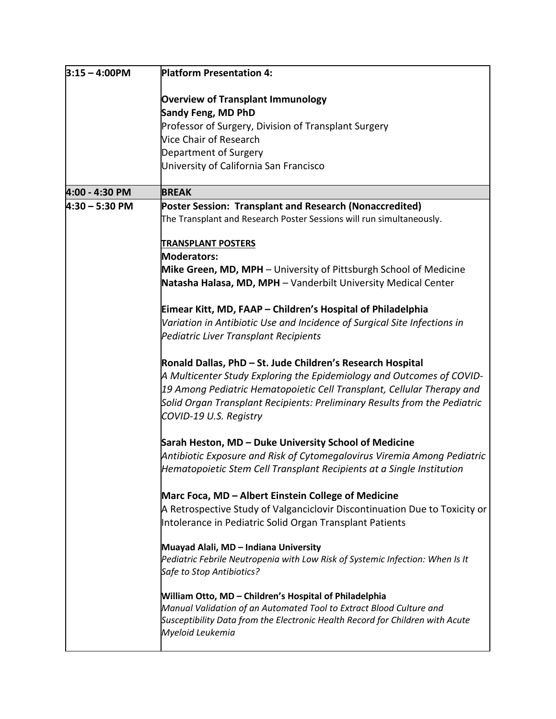| $3:15 - 4:00$ PM | <b>Platform Presentation 4:</b>                                                                                                                                                                                                                                                                                      |
|------------------|----------------------------------------------------------------------------------------------------------------------------------------------------------------------------------------------------------------------------------------------------------------------------------------------------------------------|
|                  | <b>Overview of Transplant Immunology</b>                                                                                                                                                                                                                                                                             |
|                  | Sandy Feng, MD PhD                                                                                                                                                                                                                                                                                                   |
|                  | Professor of Surgery, Division of Transplant Surgery                                                                                                                                                                                                                                                                 |
|                  | Vice Chair of Research                                                                                                                                                                                                                                                                                               |
|                  | Department of Surgery                                                                                                                                                                                                                                                                                                |
|                  | University of California San Francisco                                                                                                                                                                                                                                                                               |
| 4:00 - 4:30 PM   | <b>BREAK</b>                                                                                                                                                                                                                                                                                                         |
| $4:30 - 5:30$ PM | Poster Session: Transplant and Research (Nonaccredited)                                                                                                                                                                                                                                                              |
|                  | The Transplant and Research Poster Sessions will run simultaneously.                                                                                                                                                                                                                                                 |
|                  | <b>TRANSPLANT POSTERS</b><br>Moderators:                                                                                                                                                                                                                                                                             |
|                  | Mike Green, MD, MPH - University of Pittsburgh School of Medicine<br>Natasha Halasa, MD, MPH - Vanderbilt University Medical Center                                                                                                                                                                                  |
|                  | Eimear Kitt, MD, FAAP - Children's Hospital of Philadelphia<br>Variation in Antibiotic Use and Incidence of Surgical Site Infections in<br>Pediatric Liver Transplant Recipients                                                                                                                                     |
|                  | Ronald Dallas, PhD - St. Jude Children's Research Hospital<br>A Multicenter Study Exploring the Epidemiology and Outcomes of COVID-<br>19 Among Pediatric Hematopoietic Cell Transplant, Cellular Therapy and<br>Solid Organ Transplant Recipients: Preliminary Results from the Pediatric<br>COVID-19 U.S. Registry |
|                  | Sarah Heston, MD - Duke University School of Medicine<br>Antibiotic Exposure and Risk of Cytomegalovirus Viremia Among Pediatric<br>Hematopoietic Stem Cell Transplant Recipients at a Single Institution                                                                                                            |
|                  | Marc Foca, MD - Albert Einstein College of Medicine<br>A Retrospective Study of Valganciclovir Discontinuation Due to Toxicity or<br>Intolerance in Pediatric Solid Organ Transplant Patients                                                                                                                        |
|                  | Muayad Alali, MD - Indiana University<br>Pediatric Febrile Neutropenia with Low Risk of Systemic Infection: When Is It<br>Safe to Stop Antibiotics?                                                                                                                                                                  |
|                  | William Otto, MD - Children's Hospital of Philadelphia<br>Manual Validation of an Automated Tool to Extract Blood Culture and<br>Susceptibility Data from the Electronic Health Record for Children with Acute<br>Myeloid Leukemia                                                                                   |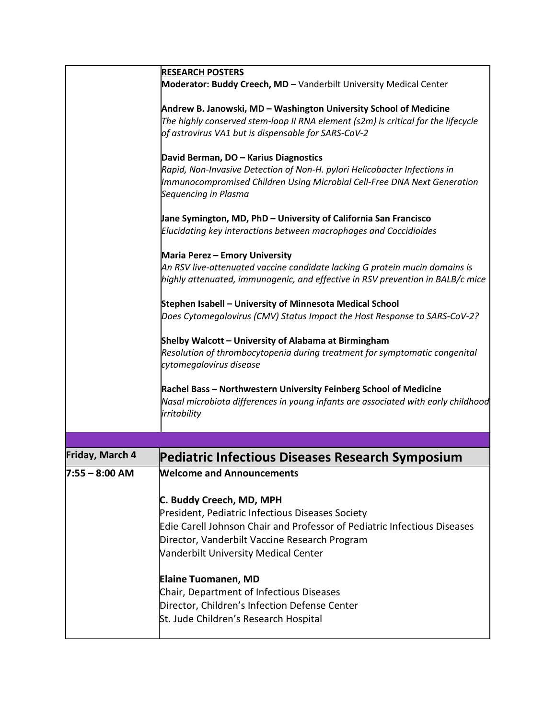|                  | <b>RESEARCH POSTERS</b>                                                                                                                                                                                                                           |
|------------------|---------------------------------------------------------------------------------------------------------------------------------------------------------------------------------------------------------------------------------------------------|
|                  | Moderator: Buddy Creech, MD - Vanderbilt University Medical Center                                                                                                                                                                                |
|                  | Andrew B. Janowski, MD - Washington University School of Medicine<br>The highly conserved stem-loop II RNA element (s2m) is critical for the lifecycle<br>of astrovirus VA1 but is dispensable for SARS-CoV-2                                     |
|                  | David Berman, DO - Karius Diagnostics<br>Rapid, Non-Invasive Detection of Non-H. pylori Helicobacter Infections in<br>Immunocompromised Children Using Microbial Cell-Free DNA Next Generation<br>Sequencing in Plasma                            |
|                  | Jane Symington, MD, PhD – University of California San Francisco<br>Elucidating key interactions between macrophages and Coccidioides                                                                                                             |
|                  | Maria Perez - Emory University<br>An RSV live-attenuated vaccine candidate lacking G protein mucin domains is<br>highly attenuated, immunogenic, and effective in RSV prevention in BALB/c mice                                                   |
|                  | Stephen Isabell - University of Minnesota Medical School<br>Does Cytomegalovirus (CMV) Status Impact the Host Response to SARS-CoV-2?                                                                                                             |
|                  | Shelby Walcott - University of Alabama at Birmingham<br>Resolution of thrombocytopenia during treatment for symptomatic congenital<br>cytomegalovirus disease                                                                                     |
|                  | Rachel Bass - Northwestern University Feinberg School of Medicine<br>Nasal microbiota differences in young infants are associated with early childhood<br>irritability                                                                            |
|                  |                                                                                                                                                                                                                                                   |
| Friday, March 4  | <b>Pediatric Infectious Diseases Research Symposium</b>                                                                                                                                                                                           |
| $7:55 - 8:00$ AM | <b>Welcome and Announcements</b>                                                                                                                                                                                                                  |
|                  | C. Buddy Creech, MD, MPH<br>President, Pediatric Infectious Diseases Society<br>Edie Carell Johnson Chair and Professor of Pediatric Infectious Diseases<br>Director, Vanderbilt Vaccine Research Program<br>Vanderbilt University Medical Center |
|                  | <b>Elaine Tuomanen, MD</b><br>Chair, Department of Infectious Diseases<br>Director, Children's Infection Defense Center<br>St. Jude Children's Research Hospital                                                                                  |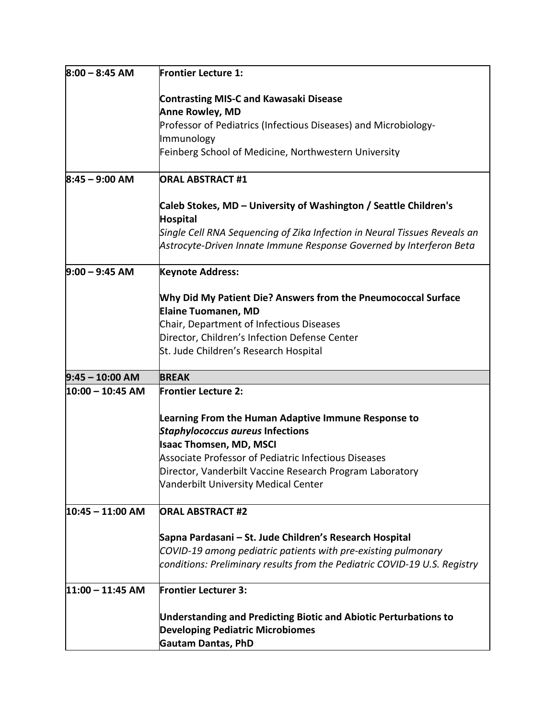| $8:00 - 8:45$ AM   | <b>Frontier Lecture 1:</b>                                                                    |
|--------------------|-----------------------------------------------------------------------------------------------|
|                    | <b>Contrasting MIS-C and Kawasaki Disease</b>                                                 |
|                    | <b>Anne Rowley, MD</b>                                                                        |
|                    | Professor of Pediatrics (Infectious Diseases) and Microbiology-                               |
|                    | Immunology                                                                                    |
|                    | Feinberg School of Medicine, Northwestern University                                          |
| $8:45 - 9:00$ AM   | <b>ORAL ABSTRACT #1</b>                                                                       |
|                    | Caleb Stokes, MD - University of Washington / Seattle Children's                              |
|                    | <b>Hospital</b>                                                                               |
|                    | Single Cell RNA Sequencing of Zika Infection in Neural Tissues Reveals an                     |
|                    | Astrocyte-Driven Innate Immune Response Governed by Interferon Beta                           |
| $9:00 - 9:45$ AM   | <b>Keynote Address:</b>                                                                       |
|                    | Why Did My Patient Die? Answers from the Pneumococcal Surface                                 |
|                    | <b>Elaine Tuomanen, MD</b>                                                                    |
|                    | Chair, Department of Infectious Diseases                                                      |
|                    | Director, Children's Infection Defense Center                                                 |
|                    | St. Jude Children's Research Hospital                                                         |
| $9:45 - 10:00$ AM  | <b>BREAK</b>                                                                                  |
| 10:00 - 10:45 AM   | <b>Frontier Lecture 2:</b>                                                                    |
|                    |                                                                                               |
|                    | Learning From the Human Adaptive Immune Response to                                           |
|                    | <b>Staphylococcus aureus Infections</b>                                                       |
|                    | <b>Isaac Thomsen, MD, MSCI</b><br><b>Associate Professor of Pediatric Infectious Diseases</b> |
|                    | Director, Vanderbilt Vaccine Research Program Laboratory                                      |
|                    | Vanderbilt University Medical Center                                                          |
|                    |                                                                                               |
| $10:45 - 11:00$ AM | <b>ORAL ABSTRACT #2</b>                                                                       |
|                    | Sapna Pardasani – St. Jude Children's Research Hospital                                       |
|                    | COVID-19 among pediatric patients with pre-existing pulmonary                                 |
|                    | conditions: Preliminary results from the Pediatric COVID-19 U.S. Registry                     |
| $11:00 - 11:45$ AM | <b>Frontier Lecturer 3:</b>                                                                   |
|                    | <b>Understanding and Predicting Biotic and Abiotic Perturbations to</b>                       |
|                    | <b>Developing Pediatric Microbiomes</b>                                                       |
|                    | <b>Gautam Dantas, PhD</b>                                                                     |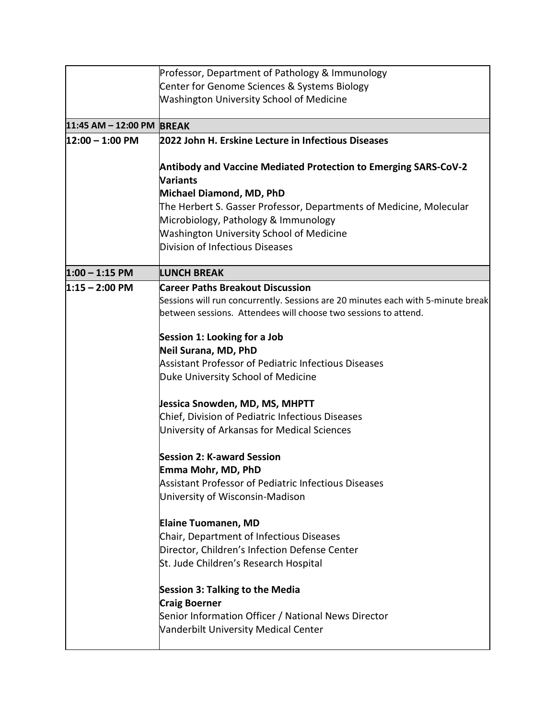|                           | Professor, Department of Pathology & Immunology                                           |
|---------------------------|-------------------------------------------------------------------------------------------|
|                           | Center for Genome Sciences & Systems Biology                                              |
|                           | <b>Washington University School of Medicine</b>                                           |
|                           |                                                                                           |
| 11:45 AM - 12:00 PM BREAK |                                                                                           |
| $12:00 - 1:00$ PM         | 2022 John H. Erskine Lecture in Infectious Diseases                                       |
|                           |                                                                                           |
|                           | <b>Antibody and Vaccine Mediated Protection to Emerging SARS-CoV-2</b><br>Variants        |
|                           |                                                                                           |
|                           | Michael Diamond, MD, PhD                                                                  |
|                           | The Herbert S. Gasser Professor, Departments of Medicine, Molecular                       |
|                           | Microbiology, Pathology & Immunology                                                      |
|                           | <b>Washington University School of Medicine</b><br><b>Division of Infectious Diseases</b> |
|                           |                                                                                           |
| $1:00 - 1:15$ PM          | <b>LUNCH BREAK</b>                                                                        |
| $1:15 - 2:00$ PM          | <b>Career Paths Breakout Discussion</b>                                                   |
|                           | Sessions will run concurrently. Sessions are 20 minutes each with 5-minute break          |
|                           | between sessions. Attendees will choose two sessions to attend.                           |
|                           |                                                                                           |
|                           | Session 1: Looking for a Job                                                              |
|                           | Neil Surana, MD, PhD                                                                      |
|                           | Assistant Professor of Pediatric Infectious Diseases                                      |
|                           | Duke University School of Medicine                                                        |
|                           | Jessica Snowden, MD, MS, MHPTT                                                            |
|                           | Chief, Division of Pediatric Infectious Diseases                                          |
|                           | University of Arkansas for Medical Sciences                                               |
|                           |                                                                                           |
|                           | <b>Session 2: K-award Session</b>                                                         |
|                           | Emma Mohr. MD. PhD                                                                        |
|                           | Assistant Professor of Pediatric Infectious Diseases                                      |
|                           | University of Wisconsin-Madison                                                           |
|                           | <b>Elaine Tuomanen, MD</b>                                                                |
|                           | Chair, Department of Infectious Diseases                                                  |
|                           | Director, Children's Infection Defense Center                                             |
|                           | St. Jude Children's Research Hospital                                                     |
|                           |                                                                                           |
|                           | <b>Session 3: Talking to the Media</b>                                                    |
|                           | <b>Craig Boerner</b>                                                                      |
|                           | Senior Information Officer / National News Director                                       |
|                           | Vanderbilt University Medical Center                                                      |
|                           |                                                                                           |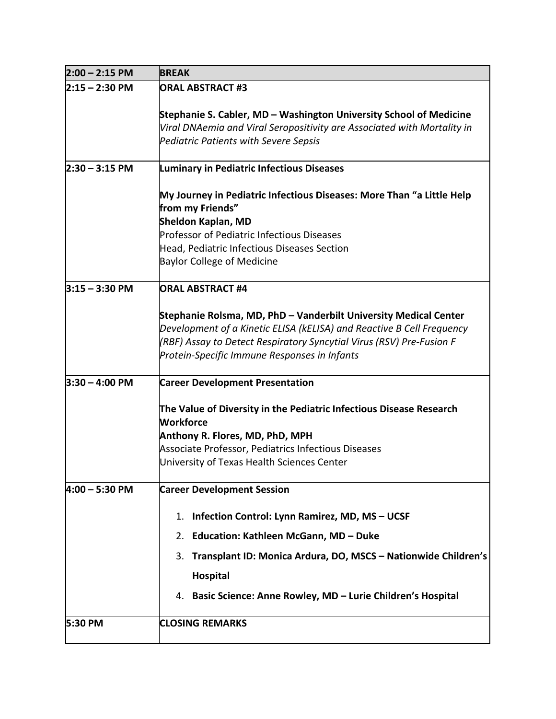| $2:00 - 2:15$ PM | <b>BREAK</b>                                                                                                                                                                                                                                                      |
|------------------|-------------------------------------------------------------------------------------------------------------------------------------------------------------------------------------------------------------------------------------------------------------------|
| $2:15 - 2:30$ PM | <b>ORAL ABSTRACT #3</b>                                                                                                                                                                                                                                           |
|                  | Stephanie S. Cabler, MD - Washington University School of Medicine<br>Viral DNAemia and Viral Seropositivity are Associated with Mortality in<br><b>Pediatric Patients with Severe Sepsis</b>                                                                     |
| $2:30 - 3:15$ PM | <b>Luminary in Pediatric Infectious Diseases</b>                                                                                                                                                                                                                  |
|                  | My Journey in Pediatric Infectious Diseases: More Than "a Little Help<br>from my Friends"<br>Sheldon Kaplan, MD<br>Professor of Pediatric Infectious Diseases<br>Head, Pediatric Infectious Diseases Section<br><b>Baylor College of Medicine</b>                 |
| $3:15 - 3:30$ PM | <b>ORAL ABSTRACT #4</b>                                                                                                                                                                                                                                           |
|                  | Stephanie Rolsma, MD, PhD - Vanderbilt University Medical Center<br>Development of a Kinetic ELISA (kELISA) and Reactive B Cell Frequency<br>(RBF) Assay to Detect Respiratory Syncytial Virus (RSV) Pre-Fusion F<br>Protein-Specific Immune Responses in Infants |
| $3:30 - 4:00$ PM | <b>Career Development Presentation</b>                                                                                                                                                                                                                            |
|                  | The Value of Diversity in the Pediatric Infectious Disease Research<br><b>Workforce</b><br>Anthony R. Flores, MD, PhD, MPH<br>Associate Professor, Pediatrics Infectious Diseases<br>University of Texas Health Sciences Center                                   |
| $4:00 - 5:30$ PM | <b>Career Development Session</b>                                                                                                                                                                                                                                 |
|                  | Infection Control: Lynn Ramirez, MD, MS - UCSF<br>1.<br>Education: Kathleen McGann, MD - Duke<br>2.<br>Transplant ID: Monica Ardura, DO, MSCS - Nationwide Children's<br>3.<br><b>Hospital</b><br>4. Basic Science: Anne Rowley, MD - Lurie Children's Hospital   |
| 5:30 PM          | <b>CLOSING REMARKS</b>                                                                                                                                                                                                                                            |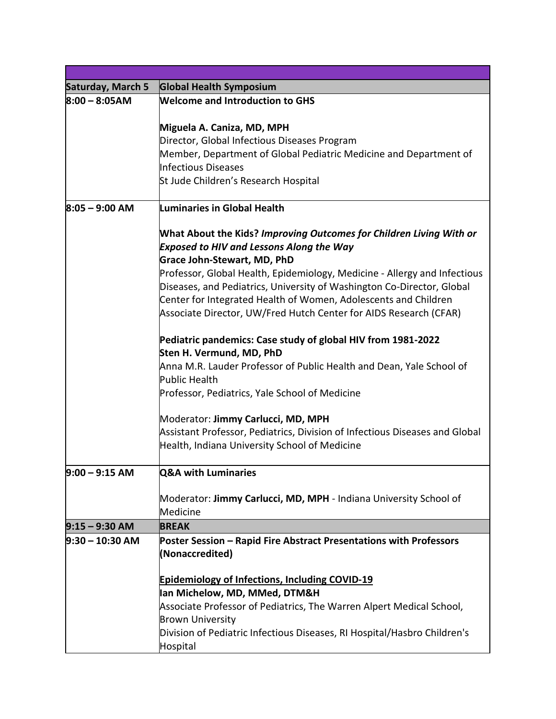| Saturday, March 5 | <b>Global Health Symposium</b>                                              |
|-------------------|-----------------------------------------------------------------------------|
| $8:00 - 8:05AM$   | <b>Welcome and Introduction to GHS</b>                                      |
|                   |                                                                             |
|                   | Miguela A. Caniza, MD, MPH                                                  |
|                   | Director, Global Infectious Diseases Program                                |
|                   | Member, Department of Global Pediatric Medicine and Department of           |
|                   | <b>Infectious Diseases</b>                                                  |
|                   | St Jude Children's Research Hospital                                        |
| $8:05 - 9:00$ AM  | Luminaries in Global Health                                                 |
|                   | What About the Kids? Improving Outcomes for Children Living With or         |
|                   | <b>Exposed to HIV and Lessons Along the Way</b>                             |
|                   | Grace John-Stewart, MD, PhD                                                 |
|                   | Professor, Global Health, Epidemiology, Medicine - Allergy and Infectious   |
|                   | Diseases, and Pediatrics, University of Washington Co-Director, Global      |
|                   | Center for Integrated Health of Women, Adolescents and Children             |
|                   | Associate Director, UW/Fred Hutch Center for AIDS Research (CFAR)           |
|                   | Pediatric pandemics: Case study of global HIV from 1981-2022                |
|                   | Sten H. Vermund, MD, PhD                                                    |
|                   | Anna M.R. Lauder Professor of Public Health and Dean, Yale School of        |
|                   | Public Health                                                               |
|                   | Professor, Pediatrics, Yale School of Medicine                              |
|                   | Moderator: Jimmy Carlucci, MD, MPH                                          |
|                   | Assistant Professor, Pediatrics, Division of Infectious Diseases and Global |
|                   | Health, Indiana University School of Medicine                               |
| $9:00 - 9:15 AM$  | <b>Q&amp;A with Luminaries</b>                                              |
|                   | Moderator: Jimmy Carlucci, MD, MPH - Indiana University School of           |
|                   | Medicine                                                                    |
| $9:15 - 9:30$ AM  | <b>BREAK</b>                                                                |
| $9:30 - 10:30$ AM | Poster Session - Rapid Fire Abstract Presentations with Professors          |
|                   | (Nonaccredited)                                                             |
|                   | <b>Epidemiology of Infections, Including COVID-19</b>                       |
|                   | Ian Michelow, MD, MMed, DTM&H                                               |
|                   | Associate Professor of Pediatrics, The Warren Alpert Medical School,        |
|                   | <b>Brown University</b>                                                     |
|                   | Division of Pediatric Infectious Diseases, RI Hospital/Hasbro Children's    |
|                   | Hospital                                                                    |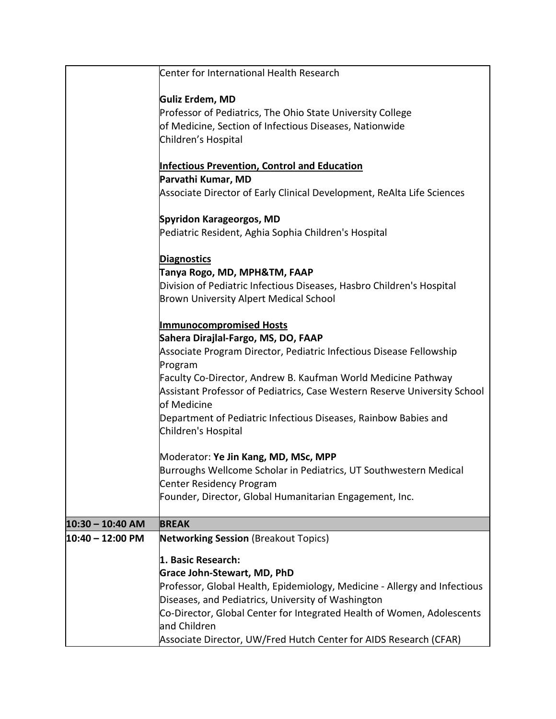|                            | Center for International Health Research                                                 |
|----------------------------|------------------------------------------------------------------------------------------|
|                            | Guliz Erdem, MD                                                                          |
|                            | Professor of Pediatrics, The Ohio State University College                               |
|                            | of Medicine, Section of Infectious Diseases, Nationwide                                  |
|                            | Children's Hospital                                                                      |
|                            |                                                                                          |
|                            | <b>Infectious Prevention, Control and Education</b>                                      |
|                            | Parvathi Kumar, MD                                                                       |
|                            | Associate Director of Early Clinical Development, ReAlta Life Sciences                   |
|                            | Spyridon Karageorgos, MD                                                                 |
|                            | Pediatric Resident, Aghia Sophia Children's Hospital                                     |
|                            | <b>Diagnostics</b>                                                                       |
|                            | Tanya Rogo, MD, MPH&TM, FAAP                                                             |
|                            | Division of Pediatric Infectious Diseases, Hasbro Children's Hospital                    |
|                            | <b>Brown University Alpert Medical School</b>                                            |
|                            | <b>Immunocompromised Hosts</b>                                                           |
|                            | Sahera Dirajlal-Fargo, MS, DO, FAAP                                                      |
|                            | Associate Program Director, Pediatric Infectious Disease Fellowship                      |
|                            | Program                                                                                  |
|                            | Faculty Co-Director, Andrew B. Kaufman World Medicine Pathway                            |
|                            | Assistant Professor of Pediatrics, Case Western Reserve University School<br>of Medicine |
|                            | Department of Pediatric Infectious Diseases, Rainbow Babies and                          |
|                            | Children's Hospital                                                                      |
|                            | Moderator: Ye Jin Kang, MD, MSc, MPP                                                     |
|                            | Burroughs Wellcome Scholar in Pediatrics, UT Southwestern Medical                        |
|                            | <b>Center Residency Program</b>                                                          |
|                            | Founder, Director, Global Humanitarian Engagement, Inc.                                  |
| $10:30 - 10:40$ AM         | <b>BREAK</b>                                                                             |
| $10:40 - 12:00 \text{ PM}$ | <b>Networking Session</b> (Breakout Topics)                                              |
|                            | 1. Basic Research:                                                                       |
|                            | <b>Grace John-Stewart, MD, PhD</b>                                                       |
|                            | Professor, Global Health, Epidemiology, Medicine - Allergy and Infectious                |
|                            | Diseases, and Pediatrics, University of Washington                                       |
|                            | Co-Director, Global Center for Integrated Health of Women, Adolescents                   |
|                            | and Children                                                                             |
|                            | Associate Director, UW/Fred Hutch Center for AIDS Research (CFAR)                        |